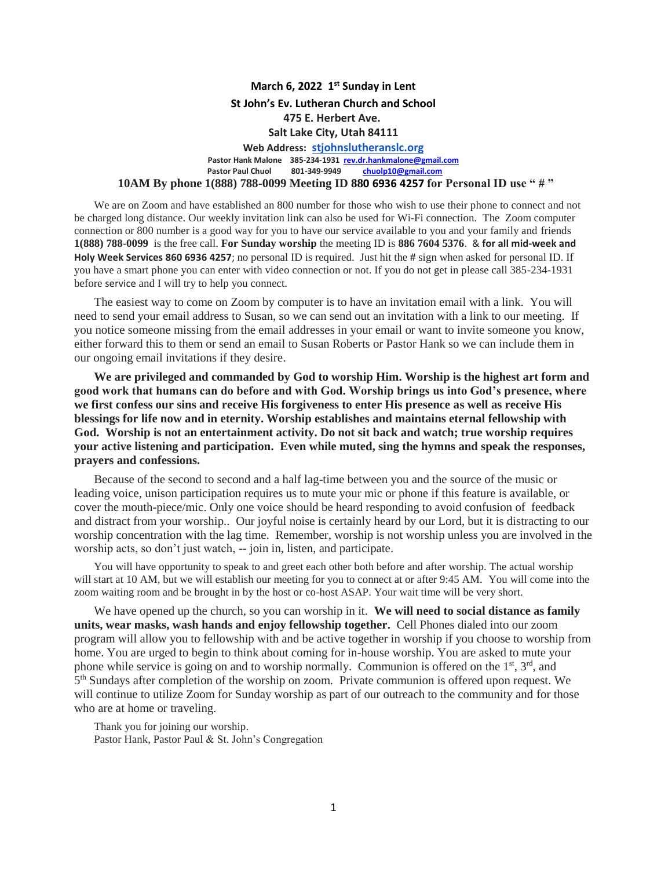#### **March 6, 2022 1 st Sunday in Lent St John's Ev. Lutheran Church and School 475 E. Herbert Ave. Salt Lake City, Utah 84111 Web Address: [stjohnslutheranslc.org](about:blank) Pastor Hank Malone 385-234-1931 [rev.dr.hankmalone@gmail.com](about:blank) Pastor Paul Chuol 801-349-9949 [chuolp10@gmail.com](about:blank)  10AM By phone 1(888) 788-0099 Meeting ID 880 6936 4257 for Personal ID use " # "**

We are on Zoom and have established an 800 number for those who wish to use their phone to connect and not be charged long distance. Our weekly invitation link can also be used for Wi-Fi connection. The Zoom computer connection or 800 number is a good way for you to have our service available to you and your family and friends **1(888) 788-0099** is the free call. **For Sunday worship** the meeting ID is **886 7604 5376**. & **for all mid-week and Holy Week Services 860 6936 4257**; no personal ID is required. Just hit the **#** sign when asked for personal ID. If you have a smart phone you can enter with video connection or not. If you do not get in please call 385-234-1931 before service and I will try to help you connect.

The easiest way to come on Zoom by computer is to have an invitation email with a link. You will need to send your email address to Susan, so we can send out an invitation with a link to our meeting. If you notice someone missing from the email addresses in your email or want to invite someone you know, either forward this to them or send an email to Susan Roberts or Pastor Hank so we can include them in our ongoing email invitations if they desire.

**We are privileged and commanded by God to worship Him. Worship is the highest art form and good work that humans can do before and with God. Worship brings us into God's presence, where we first confess our sins and receive His forgiveness to enter His presence as well as receive His blessings for life now and in eternity. Worship establishes and maintains eternal fellowship with God. Worship is not an entertainment activity. Do not sit back and watch; true worship requires your active listening and participation. Even while muted, sing the hymns and speak the responses, prayers and confessions.**

Because of the second to second and a half lag-time between you and the source of the music or leading voice, unison participation requires us to mute your mic or phone if this feature is available, or cover the mouth-piece/mic. Only one voice should be heard responding to avoid confusion of feedback and distract from your worship.. Our joyful noise is certainly heard by our Lord, but it is distracting to our worship concentration with the lag time. Remember, worship is not worship unless you are involved in the worship acts, so don't just watch, -- join in, listen, and participate.

You will have opportunity to speak to and greet each other both before and after worship. The actual worship will start at 10 AM, but we will establish our meeting for you to connect at or after 9:45 AM. You will come into the zoom waiting room and be brought in by the host or co-host ASAP. Your wait time will be very short.

We have opened up the church, so you can worship in it. **We will need to social distance as family units, wear masks, wash hands and enjoy fellowship together.** Cell Phones dialed into our zoom program will allow you to fellowship with and be active together in worship if you choose to worship from home. You are urged to begin to think about coming for in-house worship. You are asked to mute your phone while service is going on and to worship normally. Communion is offered on the  $1<sup>st</sup>$ ,  $3<sup>rd</sup>$ , and 5<sup>th</sup> Sundays after completion of the worship on zoom. Private communion is offered upon request. We will continue to utilize Zoom for Sunday worship as part of our outreach to the community and for those who are at home or traveling.

Thank you for joining our worship.

Pastor Hank, Pastor Paul & St. John's Congregation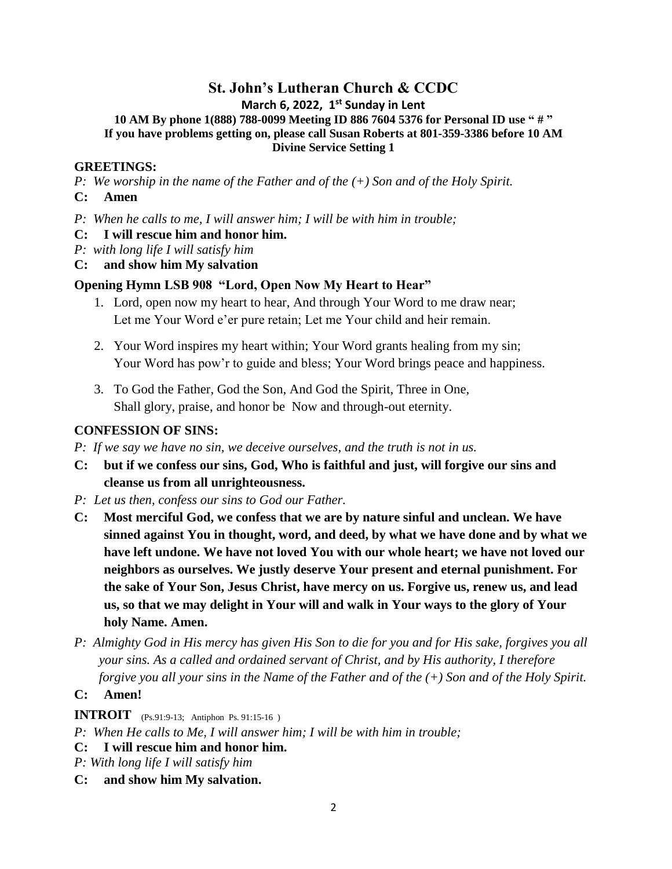# **St. John's Lutheran Church & CCDC**

#### **March 6, 2022, 1 st Sunday in Lent**

#### **10 AM By phone 1(888) 788-0099 Meeting ID 886 7604 5376 for Personal ID use " # " If you have problems getting on, please call Susan Roberts at 801-359-3386 before 10 AM Divine Service Setting 1**

#### **GREETINGS:**

- *P: We worship in the name of the Father and of the (+) Son and of the Holy Spirit.*
- **C: Amen**
- *P: When he calls to me, I will answer him; I will be with him in trouble;*
- **C: I will rescue him and honor him.**
- *P: with long life I will satisfy him*
- **C: and show him My salvation**

#### **Opening Hymn LSB 908 "Lord, Open Now My Heart to Hear"**

- 1. Lord, open now my heart to hear, And through Your Word to me draw near; Let me Your Word e'er pure retain; Let me Your child and heir remain.
- 2. Your Word inspires my heart within; Your Word grants healing from my sin; Your Word has pow'r to guide and bless; Your Word brings peace and happiness.
- 3. To God the Father, God the Son, And God the Spirit, Three in One, Shall glory, praise, and honor be Now and through-out eternity.

#### **CONFESSION OF SINS:**

- *P: If we say we have no sin, we deceive ourselves, and the truth is not in us.*
- **C: but if we confess our sins, God, Who is faithful and just, will forgive our sins and cleanse us from all unrighteousness.**
- *P: Let us then, confess our sins to God our Father.*
- **C: Most merciful God, we confess that we are by nature sinful and unclean. We have sinned against You in thought, word, and deed, by what we have done and by what we have left undone. We have not loved You with our whole heart; we have not loved our neighbors as ourselves. We justly deserve Your present and eternal punishment. For the sake of Your Son, Jesus Christ, have mercy on us. Forgive us, renew us, and lead us, so that we may delight in Your will and walk in Your ways to the glory of Your holy Name. Amen.**
- *P: Almighty God in His mercy has given His Son to die for you and for His sake, forgives you all your sins. As a called and ordained servant of Christ, and by His authority, I therefore forgive you all your sins in the Name of the Father and of the (+) Son and of the Holy Spirit.*
- **C: Amen!**

#### **INTROIT** (Ps.91:9-13; Antiphon Ps. 91:15-16 )

- *P: When He calls to Me, I will answer him; I will be with him in trouble;*
- **C: I will rescue him and honor him.**
- *P: With long life I will satisfy him*
- **C: and show him My salvation.**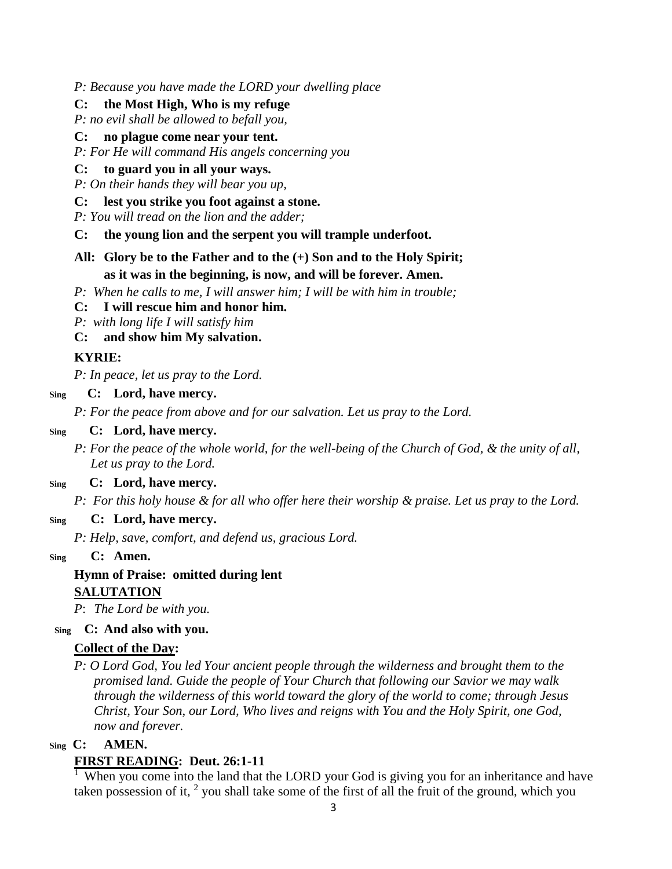*P: Because you have made the LORD your dwelling place*

#### **C: the Most High, Who is my refuge**

*P: no evil shall be allowed to befall you,*

#### **C: no plague come near your tent.**

*P: For He will command His angels concerning you*

#### **C: to guard you in all your ways.**

*P: On their hands they will bear you up,*

#### **C: lest you strike you foot against a stone.**

*P: You will tread on the lion and the adder;*

#### **C: the young lion and the serpent you will trample underfoot.**

# **All: Glory be to the Father and to the (+) Son and to the Holy Spirit; as it was in the beginning, is now, and will be forever. Amen.**

*P: When he calls to me, I will answer him; I will be with him in trouble;* 

**C: I will rescue him and honor him.**

*P: with long life I will satisfy him* 

#### **C: and show him My salvation.**

#### **KYRIE:**

*P: In peace, let us pray to the Lord.*

#### **Sing C: Lord, have mercy.**

*P: For the peace from above and for our salvation. Let us pray to the Lord.*

#### **Sing C: Lord, have mercy.**

*P: For the peace of the whole world, for the well-being of the Church of God, & the unity of all, Let us pray to the Lord.*

#### **Sing C: Lord, have mercy.**

*P: For this holy house & for all who offer here their worship & praise. Let us pray to the Lord.*

#### **Sing C: Lord, have mercy.**

*P: Help, save, comfort, and defend us, gracious Lord.*

#### **Sing C: Amen.**

# **Hymn of Praise: omitted during lent**

# **SALUTATION**

*P*: *The Lord be with you.*

#### **Sing C: And also with you.**

#### **Collect of the Day:**

*P: O Lord God, You led Your ancient people through the wilderness and brought them to the promised land. Guide the people of Your Church that following our Savior we may walk through the wilderness of this world toward the glory of the world to come; through Jesus Christ, Your Son, our Lord, Who lives and reigns with You and the Holy Spirit, one God, now and forever.*

# **Sing C: AMEN.**

#### **FIRST READING: Deut. 26:1-11**

<sup>1</sup> When you come into the land that the LORD your God is giving you for an inheritance and have taken possession of it,  $2$  you shall take some of the first of all the fruit of the ground, which you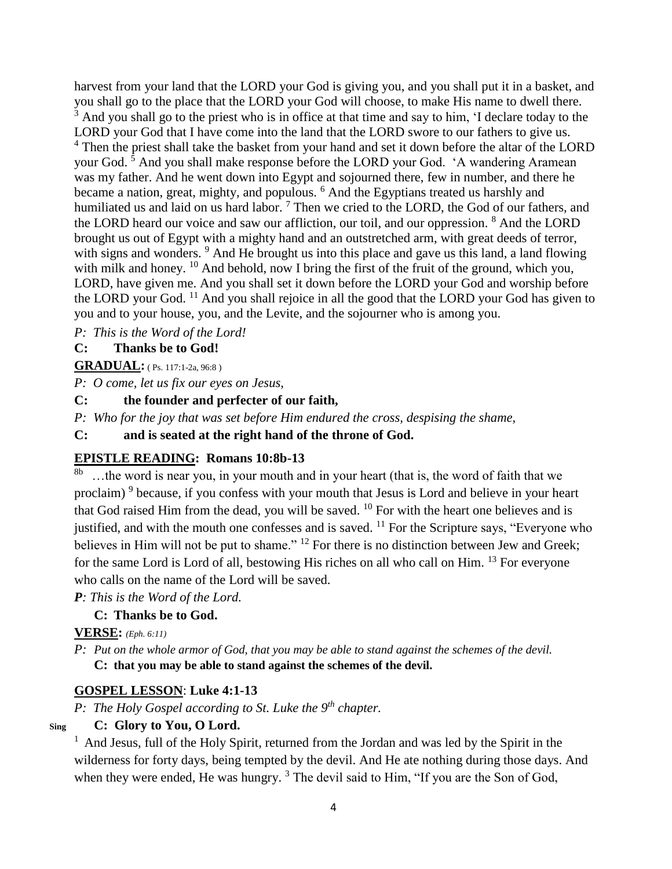harvest from your land that the LORD your God is giving you, and you shall put it in a basket, and you shall go to the place that the LORD your God will choose, to make His name to dwell there. <sup>3</sup> And you shall go to the priest who is in office at that time and say to him, 'I declare today to the LORD your God that I have come into the land that the LORD swore to our fathers to give us. <sup>4</sup> Then the priest shall take the basket from your hand and set it down before the altar of the LORD your God.<sup>5</sup> And you shall make response before the LORD your God. 'A wandering Aramean was my father. And he went down into Egypt and sojourned there, few in number, and there he became a nation, great, mighty, and populous. <sup>6</sup> And the Egyptians treated us harshly and humiliated us and laid on us hard labor.<sup>7</sup> Then we cried to the LORD, the God of our fathers, and the LORD heard our voice and saw our affliction, our toil, and our oppression. <sup>8</sup> And the LORD brought us out of Egypt with a mighty hand and an outstretched arm, with great deeds of terror, with signs and wonders. <sup>9</sup> And He brought us into this place and gave us this land, a land flowing with milk and honey. <sup>10</sup> And behold, now I bring the first of the fruit of the ground, which you, LORD, have given me. And you shall set it down before the LORD your God and worship before the LORD your God. <sup>11</sup> And you shall rejoice in all the good that the LORD your God has given to you and to your house, you, and the Levite, and the sojourner who is among you.

*P: This is the Word of the Lord!*

# **C: Thanks be to God!**

# **GRADUAL:** (Ps. 117:1-2a, 96:8)

*P: O come, let us fix our eyes on Jesus,* 

- **C: the founder and perfecter of our faith,**
- *P: Who for the joy that was set before Him endured the cross, despising the shame,*

**C: and is seated at the right hand of the throne of God.**

# **EPISTLE READING: Romans 10:8b-13**

...the word is near you, in your mouth and in your heart (that is, the word of faith that we proclaim)<sup>9</sup> because, if you confess with your mouth that Jesus is Lord and believe in your heart that God raised Him from the dead, you will be saved. <sup>10</sup> For with the heart one believes and is justified, and with the mouth one confesses and is saved. <sup>11</sup> For the Scripture says, "Everyone who believes in Him will not be put to shame." <sup>12</sup> For there is no distinction between Jew and Greek; for the same Lord is Lord of all, bestowing His riches on all who call on Him. <sup>13</sup> For everyone who calls on the name of the Lord will be saved.

*P: This is the Word of the Lord.*

# **C: Thanks be to God.**

# **VERSE:** *(Eph. 6:11)*

*P: Put on the whole armor of God, that you may be able to stand against the schemes of the devil.* **C: that you may be able to stand against the schemes of the devil.** 

# **GOSPEL LESSON**: **Luke 4:1-13**

*P: The Holy Gospel according to St. Luke the 9 th chapter.*

# **Sing C: Glory to You, O Lord.**

 $1$  And Jesus, full of the Holy Spirit, returned from the Jordan and was led by the Spirit in the wilderness for forty days, being tempted by the devil. And He ate nothing during those days. And when they were ended, He was hungry.<sup>3</sup> The devil said to Him, "If you are the Son of God,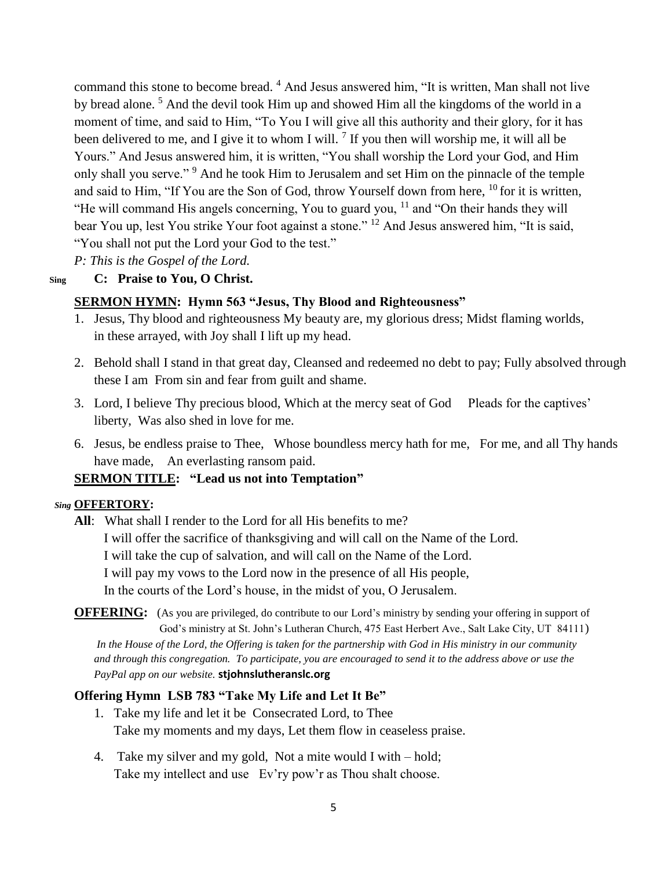command this stone to become bread. <sup>4</sup> And Jesus answered him, "It is written, Man shall not live by bread alone.<sup>5</sup> And the devil took Him up and showed Him all the kingdoms of the world in a moment of time, and said to Him, "To You I will give all this authority and their glory, for it has been delivered to me, and I give it to whom I will.  $<sup>7</sup>$  If you then will worship me, it will all be</sup> Yours." And Jesus answered him, it is written, "You shall worship the Lord your God, and Him only shall you serve."<sup>9</sup> And he took Him to Jerusalem and set Him on the pinnacle of the temple and said to Him, "If You are the Son of God, throw Yourself down from here, <sup>10</sup> for it is written, "He will command His angels concerning, You to guard you,  $11$  and "On their hands they will bear You up, lest You strike Your foot against a stone." <sup>12</sup> And Jesus answered him, "It is said, "You shall not put the Lord your God to the test."

*P: This is the Gospel of the Lord.*

#### **Sing C: Praise to You, O Christ.**

#### **SERMON HYMN: Hymn 563 "Jesus, Thy Blood and Righteousness"**

- 1. Jesus, Thy blood and righteousness My beauty are, my glorious dress; Midst flaming worlds, in these arrayed, with Joy shall I lift up my head.
- 2. Behold shall I stand in that great day, Cleansed and redeemed no debt to pay; Fully absolved through these I am From sin and fear from guilt and shame.
- 3. Lord, I believe Thy precious blood, Which at the mercy seat of God Pleads for the captives' liberty, Was also shed in love for me.
- 6. Jesus, be endless praise to Thee, Whose boundless mercy hath for me, For me, and all Thy hands have made, An everlasting ransom paid.

#### **SERMON TITLE: "Lead us not into Temptation"**

#### *Sing* **OFFERTORY:**

**All**: What shall I render to the Lord for all His benefits to me? I will offer the sacrifice of thanksgiving and will call on the Name of the Lord. I will take the cup of salvation, and will call on the Name of the Lord. I will pay my vows to the Lord now in the presence of all His people, In the courts of the Lord's house, in the midst of you, O Jerusalem.

**OFFERING:** (As you are privileged, do contribute to our Lord's ministry by sending your offering in support of God's ministry at St. John's Lutheran Church, 475 East Herbert Ave., Salt Lake City, UT 84111) *In the House of the Lord, the Offering is taken for the partnership with God in His ministry in our community and through this congregation. To participate, you are encouraged to send it to the address above or use the PayPal app on our website.* **stjohnslutheranslc.org**

#### **Offering Hymn LSB 783 "Take My Life and Let It Be"**

- 1. Take my life and let it be Consecrated Lord, to Thee Take my moments and my days, Let them flow in ceaseless praise.
- 4. Take my silver and my gold, Not a mite would I with hold; Take my intellect and use Ev'ry pow'r as Thou shalt choose.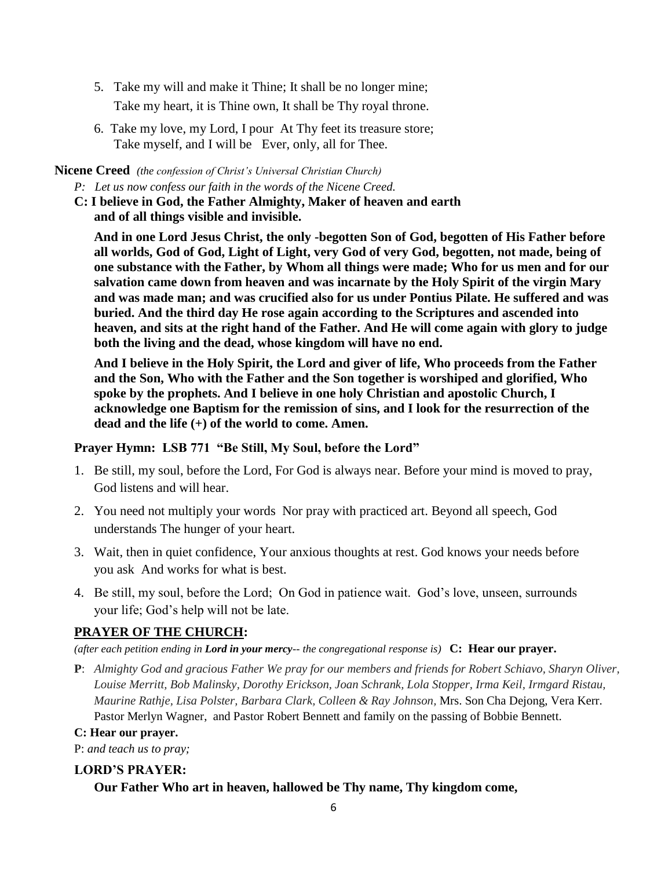- 5. Take my will and make it Thine; It shall be no longer mine; Take my heart, it is Thine own, It shall be Thy royal throne.
- 6. Take my love, my Lord, I pour At Thy feet its treasure store; Take myself, and I will be Ever, only, all for Thee.

**Nicene Creed** *(the confession of Christ's Universal Christian Church)*

- *P: Let us now confess our faith in the words of the Nicene Creed.*
- **C: I believe in God, the Father Almighty, Maker of heaven and earth and of all things visible and invisible.**

**And in one Lord Jesus Christ, the only -begotten Son of God, begotten of His Father before all worlds, God of God, Light of Light, very God of very God, begotten, not made, being of one substance with the Father, by Whom all things were made; Who for us men and for our salvation came down from heaven and was incarnate by the Holy Spirit of the virgin Mary and was made man; and was crucified also for us under Pontius Pilate. He suffered and was buried. And the third day He rose again according to the Scriptures and ascended into heaven, and sits at the right hand of the Father. And He will come again with glory to judge both the living and the dead, whose kingdom will have no end.**

**And I believe in the Holy Spirit, the Lord and giver of life, Who proceeds from the Father and the Son, Who with the Father and the Son together is worshiped and glorified, Who spoke by the prophets. And I believe in one holy Christian and apostolic Church, I acknowledge one Baptism for the remission of sins, and I look for the resurrection of the dead and the life (+) of the world to come. Amen.**

# **Prayer Hymn: LSB 771 "Be Still, My Soul, before the Lord"**

- 1. Be still, my soul, before the Lord, For God is always near. Before your mind is moved to pray, God listens and will hear.
- 2. You need not multiply your words Nor pray with practiced art. Beyond all speech, God understands The hunger of your heart.
- 3. Wait, then in quiet confidence, Your anxious thoughts at rest. God knows your needs before you ask And works for what is best.
- 4. Be still, my soul, before the Lord; On God in patience wait. God's love, unseen, surrounds your life; God's help will not be late.

# **PRAYER OF THE CHURCH:**

*(after each petition ending in Lord in your mercy-- the congregational response is)* **C: Hear our prayer.** 

**P**: *Almighty God and gracious Father We pray for our members and friends for Robert Schiavo, Sharyn Oliver, Louise Merritt, Bob Malinsky, Dorothy Erickson, Joan Schrank, Lola Stopper, Irma Keil, Irmgard Ristau, Maurine Rathje, Lisa Polster, Barbara Clark, Colleen & Ray Johnson,* Mrs. Son Cha Dejong, Vera Kerr. Pastor Merlyn Wagner, and Pastor Robert Bennett and family on the passing of Bobbie Bennett.

#### **C: Hear our prayer.**

P: *and teach us to pray;*

# **LORD'S PRAYER:**

**Our Father Who art in heaven, hallowed be Thy name, Thy kingdom come,**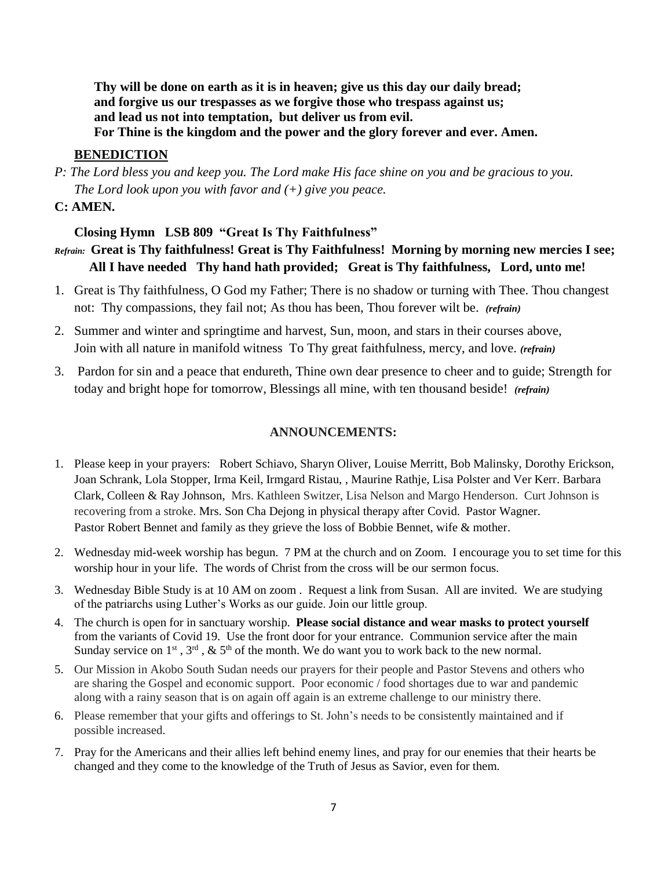**Thy will be done on earth as it is in heaven; give us this day our daily bread; and forgive us our trespasses as we forgive those who trespass against us; and lead us not into temptation, but deliver us from evil. For Thine is the kingdom and the power and the glory forever and ever. Amen.**

### **BENEDICTION**

*P: The Lord bless you and keep you. The Lord make His face shine on you and be gracious to you. The Lord look upon you with favor and (+) give you peace.*

#### **C: AMEN.**

#### **Closing Hymn LSB 809 "Great Is Thy Faithfulness"**

# *Refrain:* **Great is Thy faithfulness! Great is Thy Faithfulness! Morning by morning new mercies I see; All I have needed Thy hand hath provided; Great is Thy faithfulness, Lord, unto me!**

- 1. Great is Thy faithfulness, O God my Father; There is no shadow or turning with Thee. Thou changest not: Thy compassions, they fail not; As thou has been, Thou forever wilt be. *(refrain)*
- 2. Summer and winter and springtime and harvest, Sun, moon, and stars in their courses above, Join with all nature in manifold witness To Thy great faithfulness, mercy, and love. *(refrain)*
- 3. Pardon for sin and a peace that endureth, Thine own dear presence to cheer and to guide; Strength for today and bright hope for tomorrow, Blessings all mine, with ten thousand beside! *(refrain)*

#### **ANNOUNCEMENTS:**

- 1. Please keep in your prayers: Robert Schiavo, Sharyn Oliver, Louise Merritt, Bob Malinsky, Dorothy Erickson, Joan Schrank, Lola Stopper, Irma Keil, Irmgard Ristau, , Maurine Rathje, Lisa Polster and Ver Kerr. Barbara Clark, Colleen & Ray Johnson, Mrs. Kathleen Switzer, Lisa Nelson and Margo Henderson. Curt Johnson is recovering from a stroke. Mrs. Son Cha Dejong in physical therapy after Covid. Pastor Wagner. Pastor Robert Bennet and family as they grieve the loss of Bobbie Bennet, wife & mother.
- 2. Wednesday mid-week worship has begun. 7 PM at the church and on Zoom. I encourage you to set time for this worship hour in your life. The words of Christ from the cross will be our sermon focus.
- 3. Wednesday Bible Study is at 10 AM on zoom . Request a link from Susan. All are invited. We are studying of the patriarchs using Luther's Works as our guide. Join our little group.
- 4. The church is open for in sanctuary worship. **Please social distance and wear masks to protect yourself** from the variants of Covid 19. Use the front door for your entrance. Communion service after the main Sunday service on  $1^{st}$ ,  $3^{rd}$ ,  $\&$  5<sup>th</sup> of the month. We do want you to work back to the new normal.
- 5. Our Mission in Akobo South Sudan needs our prayers for their people and Pastor Stevens and others who are sharing the Gospel and economic support. Poor economic / food shortages due to war and pandemic along with a rainy season that is on again off again is an extreme challenge to our ministry there.
- 6. Please remember that your gifts and offerings to St. John's needs to be consistently maintained and if possible increased.
- 7. Pray for the Americans and their allies left behind enemy lines, and pray for our enemies that their hearts be changed and they come to the knowledge of the Truth of Jesus as Savior, even for them.